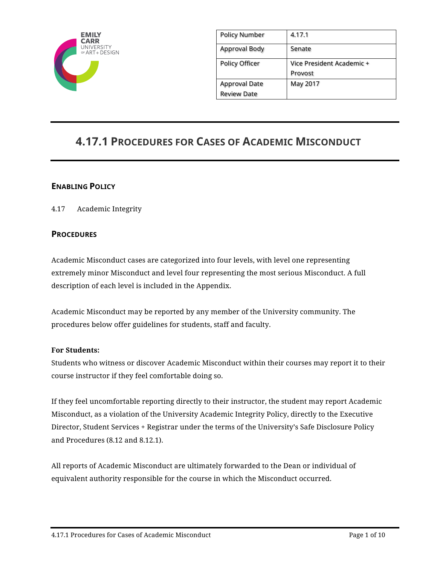

| <b>Policy Number</b>  | 4.17.1                    |
|-----------------------|---------------------------|
| <b>Approval Body</b>  | Senate                    |
| <b>Policy Officer</b> | Vice President Academic + |
|                       | Provost                   |
| <b>Approval Date</b>  | May 2017                  |
| <b>Review Date</b>    |                           |

# **4.17.1 PROCEDURES FOR CASES OF ACADEMIC MISCONDUCT**

# **ENABLING POLICY**

4.17 Academic Integrity

## **PROCEDURES**

Academic Misconduct cases are categorized into four levels, with level one representing extremely minor Misconduct and level four representing the most serious Misconduct. A full description of each level is included in the Appendix.

Academic Misconduct may be reported by any member of the University community. The procedures below offer guidelines for students, staff and faculty.

#### **For Students:**

Students who witness or discover Academic Misconduct within their courses may report it to their course instructor if they feel comfortable doing so.

If they feel uncomfortable reporting directly to their instructor, the student may report Academic Misconduct, as a violation of the University Academic Integrity Policy, directly to the Executive Director, Student Services + Registrar under the terms of the University's Safe Disclosure Policy and Procedures (8.12 and 8.12.1).

All reports of Academic Misconduct are ultimately forwarded to the Dean or individual of equivalent authority responsible for the course in which the Misconduct occurred.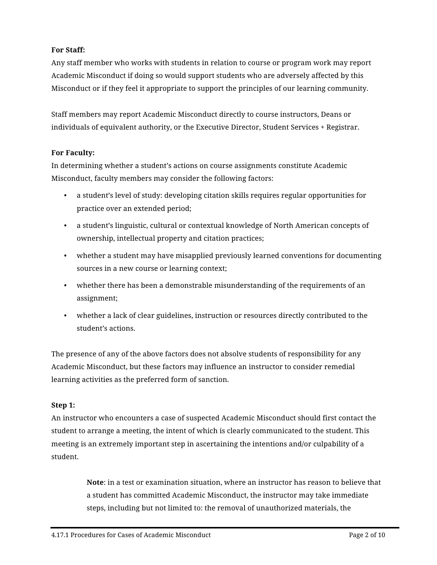# **For Staff:**

Any staff member who works with students in relation to course or program work may report Academic Misconduct if doing so would support students who are adversely affected by this Misconduct or if they feel it appropriate to support the principles of our learning community.

Staff members may report Academic Misconduct directly to course instructors, Deans or individuals of equivalent authority, or the Executive Director, Student Services + Registrar.

## **For Faculty:**

In determining whether a student's actions on course assignments constitute Academic Misconduct, faculty members may consider the following factors:

- a student's level of study: developing citation skills requires regular opportunities for practice over an extended period;
- a student's linguistic, cultural or contextual knowledge of North American concepts of ownership, intellectual property and citation practices;
- whether a student may have misapplied previously learned conventions for documenting sources in a new course or learning context;
- whether there has been a demonstrable misunderstanding of the requirements of an assignment;
- whether a lack of clear guidelines, instruction or resources directly contributed to the student's actions.

The presence of any of the above factors does not absolve students of responsibility for any Academic Misconduct, but these factors may influence an instructor to consider remedial learning activities as the preferred form of sanction.

## **Step 1:**

An instructor who encounters a case of suspected Academic Misconduct should first contact the student to arrange a meeting, the intent of which is clearly communicated to the student. This meeting is an extremely important step in ascertaining the intentions and/or culpability of a student.

> **Note**: in a test or examination situation, where an instructor has reason to believe that a student has committed Academic Misconduct, the instructor may take immediate steps, including but not limited to: the removal of unauthorized materials, the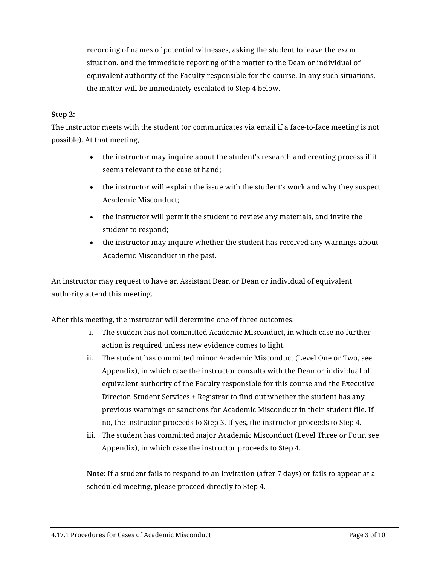recording of names of potential witnesses, asking the student to leave the exam situation, and the immediate reporting of the matter to the Dean or individual of equivalent authority of the Faculty responsible for the course. In any such situations, the matter will be immediately escalated to Step 4 below.

#### **Step 2:**

The instructor meets with the student (or communicates via email if a face-to-face meeting is not possible). At that meeting,

- the instructor may inquire about the student's research and creating process if it seems relevant to the case at hand;
- the instructor will explain the issue with the student's work and why they suspect Academic Misconduct;
- the instructor will permit the student to review any materials, and invite the student to respond;
- the instructor may inquire whether the student has received any warnings about Academic Misconduct in the past.

An instructor may request to have an Assistant Dean or Dean or individual of equivalent authority attend this meeting.

After this meeting, the instructor will determine one of three outcomes:

- i. The student has not committed Academic Misconduct, in which case no further action is required unless new evidence comes to light.
- ii. The student has committed minor Academic Misconduct (Level One or Two, see Appendix), in which case the instructor consults with the Dean or individual of equivalent authority of the Faculty responsible for this course and the Executive Director, Student Services + Registrar to find out whether the student has any previous warnings or sanctions for Academic Misconduct in their student file. If no, the instructor proceeds to Step 3. If yes, the instructor proceeds to Step 4.
- iii. The student has committed major Academic Misconduct (Level Three or Four, see Appendix), in which case the instructor proceeds to Step 4.

**Note**: If a student fails to respond to an invitation (after 7 days) or fails to appear at a scheduled meeting, please proceed directly to Step 4.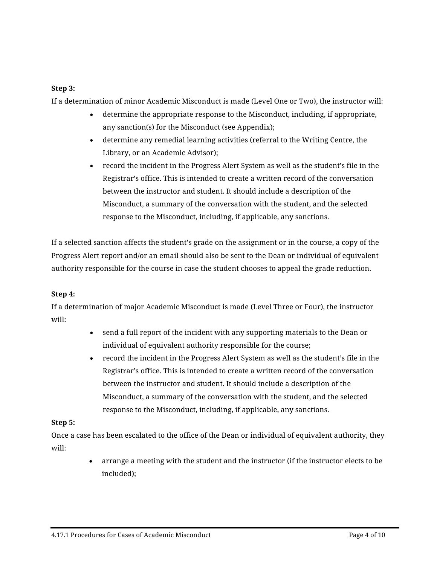## **Step 3:**

If a determination of minor Academic Misconduct is made (Level One or Two), the instructor will:

- determine the appropriate response to the Misconduct, including, if appropriate, any sanction(s) for the Misconduct (see Appendix);
- determine any remedial learning activities (referral to the Writing Centre, the Library, or an Academic Advisor);
- record the incident in the Progress Alert System as well as the student's file in the Registrar's office. This is intended to create a written record of the conversation between the instructor and student. It should include a description of the Misconduct, a summary of the conversation with the student, and the selected response to the Misconduct, including, if applicable, any sanctions.

If a selected sanction affects the student's grade on the assignment or in the course, a copy of the Progress Alert report and/or an email should also be sent to the Dean or individual of equivalent authority responsible for the course in case the student chooses to appeal the grade reduction.

## **Step 4:**

If a determination of major Academic Misconduct is made (Level Three or Four), the instructor will:

- send a full report of the incident with any supporting materials to the Dean or individual of equivalent authority responsible for the course;
- record the incident in the Progress Alert System as well as the student's file in the Registrar's office. This is intended to create a written record of the conversation between the instructor and student. It should include a description of the Misconduct, a summary of the conversation with the student, and the selected response to the Misconduct, including, if applicable, any sanctions.

#### **Step 5:**

Once a case has been escalated to the office of the Dean or individual of equivalent authority, they will:

> • arrange a meeting with the student and the instructor (if the instructor elects to be included);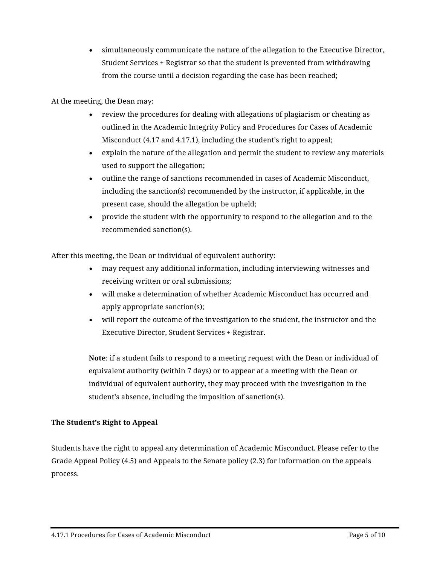• simultaneously communicate the nature of the allegation to the Executive Director, Student Services + Registrar so that the student is prevented from withdrawing from the course until a decision regarding the case has been reached;

At the meeting, the Dean may:

- review the procedures for dealing with allegations of plagiarism or cheating as outlined in the Academic Integrity Policy and Procedures for Cases of Academic Misconduct (4.17 and 4.17.1), including the student's right to appeal;
- explain the nature of the allegation and permit the student to review any materials used to support the allegation;
- outline the range of sanctions recommended in cases of Academic Misconduct, including the sanction(s) recommended by the instructor, if applicable, in the present case, should the allegation be upheld;
- provide the student with the opportunity to respond to the allegation and to the recommended sanction(s).

After this meeting, the Dean or individual of equivalent authority:

- may request any additional information, including interviewing witnesses and receiving written or oral submissions;
- will make a determination of whether Academic Misconduct has occurred and apply appropriate sanction(s);
- will report the outcome of the investigation to the student, the instructor and the Executive Director, Student Services + Registrar.

**Note**: if a student fails to respond to a meeting request with the Dean or individual of equivalent authority (within 7 days) or to appear at a meeting with the Dean or individual of equivalent authority, they may proceed with the investigation in the student's absence, including the imposition of sanction(s).

## **The Student's Right to Appeal**

Students have the right to appeal any determination of Academic Misconduct. Please refer to the Grade Appeal Policy (4.5) and Appeals to the Senate policy (2.3) for information on the appeals process.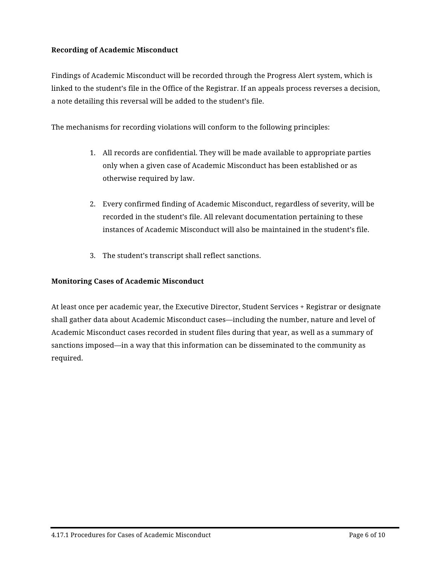## **Recording of Academic Misconduct**

Findings of Academic Misconduct will be recorded through the Progress Alert system, which is linked to the student's file in the Office of the Registrar. If an appeals process reverses a decision, a note detailing this reversal will be added to the student's file.

The mechanisms for recording violations will conform to the following principles:

- 1. All records are confidential. They will be made available to appropriate parties only when a given case of Academic Misconduct has been established or as otherwise required by law.
- 2. Every confirmed finding of Academic Misconduct, regardless of severity, will be recorded in the student's file. All relevant documentation pertaining to these instances of Academic Misconduct will also be maintained in the student's file.
- 3. The student's transcript shall reflect sanctions.

#### **Monitoring Cases of Academic Misconduct**

At least once per academic year, the Executive Director, Student Services + Registrar or designate shall gather data about Academic Misconduct cases—including the number, nature and level of Academic Misconduct cases recorded in student files during that year, as well as a summary of sanctions imposed—in a way that this information can be disseminated to the community as required.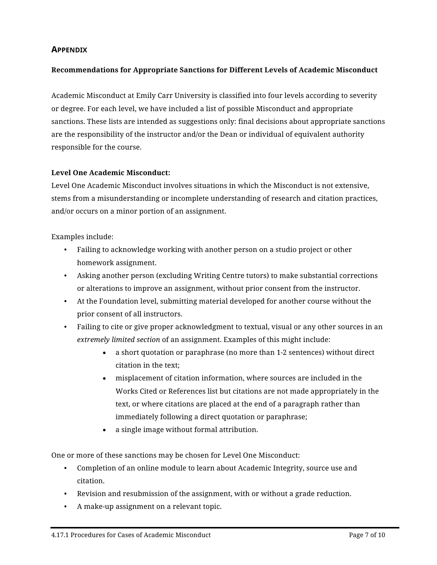# **APPENDIX**

## **Recommendations for Appropriate Sanctions for Different Levels of Academic Misconduct**

Academic Misconduct at Emily Carr University is classified into four levels according to severity or degree. For each level, we have included a list of possible Misconduct and appropriate sanctions. These lists are intended as suggestions only: final decisions about appropriate sanctions are the responsibility of the instructor and/or the Dean or individual of equivalent authority responsible for the course.

#### **Level One Academic Misconduct:**

Level One Academic Misconduct involves situations in which the Misconduct is not extensive, stems from a misunderstanding or incomplete understanding of research and citation practices, and/or occurs on a minor portion of an assignment.

Examples include:

- Failing to acknowledge working with another person on a studio project or other homework assignment.
- Asking another person (excluding Writing Centre tutors) to make substantial corrections or alterations to improve an assignment, without prior consent from the instructor.
- At the Foundation level, submitting material developed for another course without the prior consent of all instructors.
- Failing to cite or give proper acknowledgment to textual, visual or any other sources in an *extremely limited section* of an assignment. Examples of this might include:
	- a short quotation or paraphrase (no more than 1-2 sentences) without direct citation in the text;
	- misplacement of citation information, where sources are included in the Works Cited or References list but citations are not made appropriately in the text, or where citations are placed at the end of a paragraph rather than immediately following a direct quotation or paraphrase;
	- a single image without formal attribution.

One or more of these sanctions may be chosen for Level One Misconduct:

- Completion of an online module to learn about Academic Integrity, source use and citation.
- Revision and resubmission of the assignment, with or without a grade reduction.
- A make-up assignment on a relevant topic.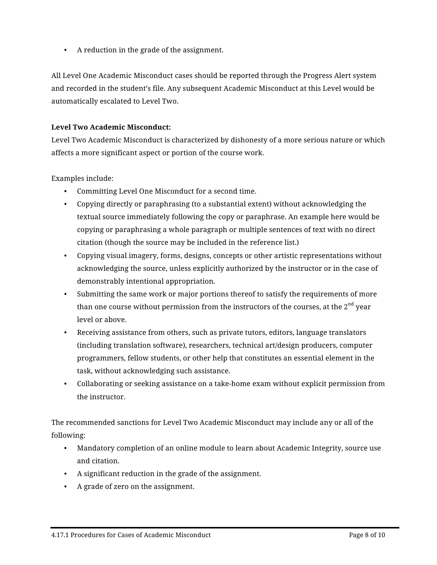• A reduction in the grade of the assignment.

All Level One Academic Misconduct cases should be reported through the Progress Alert system and recorded in the student's file. Any subsequent Academic Misconduct at this Level would be automatically escalated to Level Two.

## **Level Two Academic Misconduct:**

Level Two Academic Misconduct is characterized by dishonesty of a more serious nature or which affects a more significant aspect or portion of the course work.

Examples include:

- Committing Level One Misconduct for a second time.
- Copying directly or paraphrasing (to a substantial extent) without acknowledging the textual source immediately following the copy or paraphrase. An example here would be copying or paraphrasing a whole paragraph or multiple sentences of text with no direct citation (though the source may be included in the reference list.)
- Copying visual imagery, forms, designs, concepts or other artistic representations without acknowledging the source, unless explicitly authorized by the instructor or in the case of demonstrably intentional appropriation.
- Submitting the same work or major portions thereof to satisfy the requirements of more than one course without permission from the instructors of the courses, at the  $2<sup>nd</sup>$  year level or above.
- Receiving assistance from others, such as private tutors, editors, language translators (including translation software), researchers, technical art/design producers, computer programmers, fellow students, or other help that constitutes an essential element in the task, without acknowledging such assistance.
- Collaborating or seeking assistance on a take-home exam without explicit permission from the instructor.

The recommended sanctions for Level Two Academic Misconduct may include any or all of the following:

- Mandatory completion of an online module to learn about Academic Integrity, source use and citation.
- A significant reduction in the grade of the assignment.
- A grade of zero on the assignment.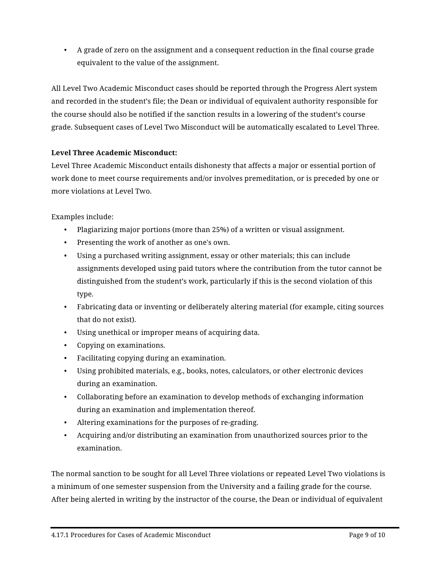• A grade of zero on the assignment and a consequent reduction in the final course grade equivalent to the value of the assignment.

All Level Two Academic Misconduct cases should be reported through the Progress Alert system and recorded in the student's file; the Dean or individual of equivalent authority responsible for the course should also be notified if the sanction results in a lowering of the student's course grade. Subsequent cases of Level Two Misconduct will be automatically escalated to Level Three.

# **Level Three Academic Misconduct:**

Level Three Academic Misconduct entails dishonesty that affects a major or essential portion of work done to meet course requirements and/or involves premeditation, or is preceded by one or more violations at Level Two.

Examples include:

- Plagiarizing major portions (more than 25%) of a written or visual assignment.
- Presenting the work of another as one's own.
- Using a purchased writing assignment, essay or other materials; this can include assignments developed using paid tutors where the contribution from the tutor cannot be distinguished from the student's work, particularly if this is the second violation of this type.
- Fabricating data or inventing or deliberately altering material (for example, citing sources that do not exist).
- Using unethical or improper means of acquiring data.
- Copying on examinations.
- Facilitating copying during an examination.
- Using prohibited materials, e.g., books, notes, calculators, or other electronic devices during an examination.
- Collaborating before an examination to develop methods of exchanging information during an examination and implementation thereof.
- Altering examinations for the purposes of re-grading.
- Acquiring and/or distributing an examination from unauthorized sources prior to the examination.

The normal sanction to be sought for all Level Three violations or repeated Level Two violations is a minimum of one semester suspension from the University and a failing grade for the course. After being alerted in writing by the instructor of the course, the Dean or individual of equivalent